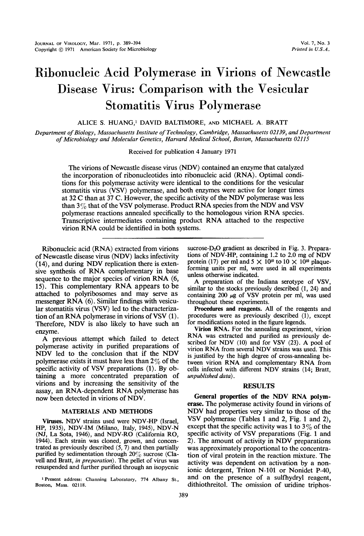# Ribonucleic Acid Polymerase in Virions of Newcastle Disease Virus: Comparison with the Vesicular Stomatitis Virus Polymerase

ALICE S. HUANG,' DAVID BALTIMORE, AND MICHAEL A. BRATT

Department ofBiology, Massachusetts Institute of Technology, Cambridge, Massachusetts 02139, and Departmenit of Microbiology and Molecular Genetics, Harvard Medical School, Boston, Massachusetts 02115

Received for publication 4 January 1971

The virions of Newcastle disease virus (NDV) contained an enzyme that catalyzed the incorporation of ribonucleotides into ribonucleic acid (RNA). Optimal conditions for this polymerase activity were identical to the conditions for the vesicular stomatitis virus (VSV) polymerase, and both enzymes were active for longer times at <sup>32</sup> C than at <sup>37</sup> C. However, the specific activity of the NDV polymerase was less than  $3\%$  that of the VSV polymerase. Product RNA species from the NDV and VSV polymerase reactions annealed specifically to the homologous virion RNA species. Transcriptive intermediates containing product RNA attached to the respective virion RNA could be identified in both systems.

Ribonucleic acid (RNA) extracted from virions of Newcastle disease virus (NDV) lacks infectivity (14), and during NDV replication there is extensive synthesis of RNA complementary in base sequence to the major species of virion RNA (6, 15). This complementary RNA appears to be attached to polyribosomes and may serve as messenger RNA (6). Similar findings with vesicular stomatitis virus (VSV) led to the characterization of an RNA polymerase in virions of VSV (1). Therefore, NDV is also likely to have such an enzyme.

A previous attempt which failed to detect polymerase activity in purified preparations of NDV led to the conclusion that if the NDV polymerase exists it must have less than  $2\%$  of the specific activity of VSV preparations (1). By obtaining a more concentrated preparation of virions and by increasing the sensitivity of the assay, an RNA-dependent RNA polymerase has now been detected in virions of NDV.

# MATERIALS AND METHODS

Viruses. NDV strains used were NDV-HP (Israel, HP, 1935), NDV-IM (Milano, Italy, 1945), NDV-N (NJ, La Sota, 1946), and NDV-RO (California RO, 1944). Each strain was cloned, grown, and concentrated as previously described (5, 7) and then partially purified by sedimentation through  $20\%$  sucrose (Clavell and Bratt, in preparation). The pellet of virus was resuspended and further purified through an isopycnic

<sup>1</sup> Present address: Channing Laboratory, 774 Albany St., Boston, Mass. 02118.

sucrose- $D_2O$  gradient as described in Fig. 3. Preparations of NDV-HP, containing 1.2 to 2.0 mg of NDV protein (17) per ml and  $5 \times 10^{10}$  to  $10 \times 10^{10}$  plaqueforming units per ml, were used in all experiments unless otherwise indicated.

A preparation of the Indiana serotype of VSV, similar to the stocks previously described (1, 24) and containing 200  $\mu$ g of VSV protein per ml, was used throughout these experiments.

Procedures and reagents. All of the reagents and procedures were as previously described (1), except for modifications noted in the figure legends.

Virion RNA. For the annealing experiment, virion RNA was extracted and purified as previously described for NDV  $(10)$  and for VSV  $(23)$ . A pool of virionRNA from several NDV strains was used. This is justified by the high degree of cross-annealing between virion RNA and complementary RNA from cells infected with different NDV strains (14; Bratt, unpublished data).

## RESULTS

General properties of the NDV RNA polymerase. The polymerase activity found in virions of NDV had properties very similar to those of the VSV polymerase (Tables <sup>1</sup> and 2, Fig. <sup>1</sup> and 2), except that the specific activity was 1 to  $3\%$  of the specific activity of VSV preparations (Fig. <sup>1</sup> and 2). The amount of activity in NDV preparations was approximately proportional to the concentration of viral protein in the reaction mixture. The activity was dependent on activation by a nonionic detergent, Triton N-101 or Nonidet P-40, and on the presence of a sulfhydryl reagent, dithiothreitol. The omission of uridine triphos-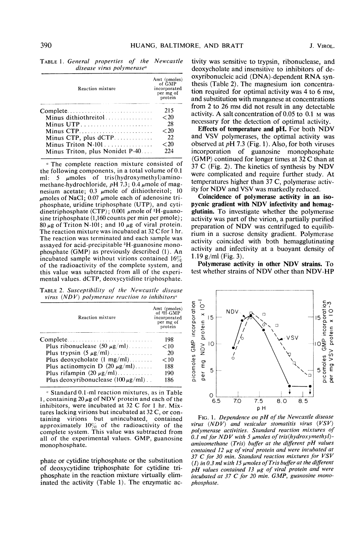| disease virus polymerase <sup>a</sup> |                                                                |  |
|---------------------------------------|----------------------------------------------------------------|--|
| Reaction mixture                      | Amt (pmoles)<br>of GMP<br>incorporated<br>per mg of<br>protein |  |
| Complete                              | 215                                                            |  |
| Minus dithiothreitol                  | ${<}20$                                                        |  |
| Minus UTP                             | 28                                                             |  |
| Minus $CTP$                           | ${<}\,20$                                                      |  |
|                                       | 22                                                             |  |
|                                       | ${<}20$                                                        |  |
| Minus Triton, plus Nonidet P-40       | 224                                                            |  |

TABLE 1. General properties of the Newcastle

<sup>a</sup> The complete reaction mixture consisted of the following components, in a total volume of 0.1 ml: 5  $\mu$ moles of tris(hydroxymethyl)aminomethane-hydrochloride,  $pH$  7.3; 0.4  $\mu$ mole of magnesium acetate; 0.3  $\mu$ mole of dithiothreitol; 10  $\mu$ moles of NaCl; 0.07  $\mu$ mole each of adenosine triphosphate, uridine triphosphate (UTP), and cytidinetriphosphate (CTP); 0.001  $\mu$ mole of <sup>3</sup>H-guanosine triphosphate (1,160 counts per min per pmole);  $80 \mu$ g of Triton N-101; and 10  $\mu$ g of viral protein. The reaction mixture was incubated at <sup>32</sup> C for <sup>1</sup> hr. The reaction was terminated and each sample was assayed for acid-precipitable 3H-guanosine monophosphate (GMP) as previously described (1). An incubated sample without virions contained  $16\%$ of the radioactivity of the complete system, and this value was subtracted from all of the experimental values. dCTP, deoxycytidine triphosphate.

TABLE 2. Susceptibility of the Newcastle disease virus (NDV) polymerase reaction to inhibitors<sup> $a$ </sup>

| <b>Reaction mixture</b>                           | Amt (pmoles)<br>of <sup>3H</sup> -GMP<br>incorporated<br>per mg of<br>protein |
|---------------------------------------------------|-------------------------------------------------------------------------------|
| Complete                                          | 198                                                                           |
| Plus ribonuclease $(50 \mu g/ml)$                 | < 10                                                                          |
| Plus trypsin $(5 \mu g/ml)$                       | 20                                                                            |
| Plus deoxycholate $(1 \text{ mg/ml}) \dots \dots$ | $<$ 10                                                                        |
| Plus actinomycin D $(20 \mu g/ml)$                | 188                                                                           |
| Plus rifampin $(20 \mu g/ml)$                     | 190                                                                           |
| Plus deoxyribonuclease $(100 \mu g/ml)$ .         | 186                                                                           |

 $\alpha$  Standard 0.1-ml reaction mixtures, as in Table 1, containing  $20 \mu g$  of NDV protein and each of the inhibitors, were incubated at <sup>32</sup> C for <sup>1</sup> hr. Mixtures lacking virions but incubated at 32 C, or containing virions but unincubated, contained approximately  $10\%$  of the radioactivity of the complete system. This value was subtracted from all of the experimental values. GMP, guanosine monophosphate.

phate or cytidine triphosphate or the substitution of deoxycytidine triphosphate for cytidine triphosphate in the reaction mixture virtually eliminated the activity (Table 1). The enzymatic ac-

tivity was sensitive to trypsin, ribonuclease, and deoxycholate and insensitive to inhibitors of deoxyribonucleic acid (DNA)-dependent RNA synthesis (Table 2). The magnesium ion concentration required for optimal activity was 4 to 6 mM, and substitution with manganese at concentrations from <sup>2</sup> to <sup>26</sup> mm did not result in any detectable activity. A salt concentration of 0.05 to 0.1 M was necessary for the detection of optimal activity.

Effects of temperature and pH. For both NDV and VSV polymerases, the optimal activity was observed at  $pH$  7.3 (Fig. 1). Also, for both viruses incorporation of guanosine monophosphate (GMP) continued for longer times at <sup>32</sup> C than at <sup>37</sup> C (Fig. 2). The kinetics of synthesis by NDV were complicated and require further study. At temperatures higher than 37 C, polymerase activity for NDV and VSV was markedly reduced.

Coincidence of polymerase activity in an isopycnic gradient with NDV infectivity and hemagglutinin. To investigate whether the polymerase activity was part of the virion, a partially purified preparation of NDV was centrifuged to equilibrium in a sucrose density gradient. Polymerase activity coincided with both hemagglutinating activity and infectivity at a buoyant density of 1.19 g/ml (Fig. 3).

Polymerase activity in other NDV strains. To test whether strains of NDV other than NDV-HP



FIG. 1. Dependence on  $pH$  of the Newcastle disease virus  $(NDV)$  and vesicular stomatitis virus  $(VSV)$ polymerase activities. Standard reaction mixtures of  $0.1$  ml for NDV with 5 µmoles of tris(hydroxymethyl)aminomethane  $(Tris)$  buffer at the different pH values contained 12  $\mu$ g of viral protein and were incubated at 37  $C$  for 30 min. Standard reaction mixtures for  $VSV$ (1) in 0.3 ml with 15  $\mu$ moles of Tris buffer at the different  $pH$  values contained 13  $\mu$ g of viral protein and were incubated at 37 C for <sup>20</sup> min. GMP, guanosine monophosphate.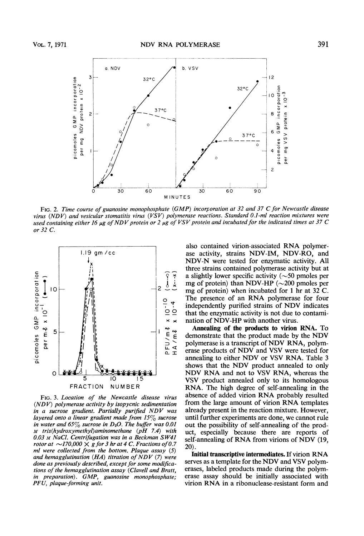

FIG. 2. Time course of guanosine monophosphate (GMP) incorporation at <sup>32</sup> and <sup>37</sup> C for Newcastle disease virus ( $NDV$ ) and vesicular stomatitis virus ( $VSV$ ) polymerase reactions. Standard 0.1-ml reaction mixtures were used containing either 16  $\mu$ g of NDV protein or 2  $\mu$ g of VSV protein and incubated for the indicated times at 37 C or 32 C.



FIG. 3. Location of the Newcastle disease virus  $(NDV)$  polymerase activity by isopycnic sedimentation in <sup>a</sup> sucrose gradient. Partially purified NDV was layered onto a linear gradient made from 15 $\%$  sucrose in water and 65 $\%$  sucrose in D<sub>2</sub>O. The buffer was 0.01 m tris(hydroxymethyl)aminomethane (pH 7.4) with 0.03 M NaCl. Centrifugation was in a Beckman SW41 rotor at  $\sim$ 170,000  $\times$  g for 3 hr at 4 C. Fractions of 0.7 ml were collected from the bottom. Plaque assay (5) and hemagglutination  $(HA)$  titration of NDV (7) were done as previously described, except for some modifications of the hemagglutination assay (Clavell and Bratt, in preparation). GMP, guanosine monophosphate; PFU, plaque-forming unit.

also contained virion-associated RNA polymerase activity, strains NDV-IM, NDV-RO, and NDV-N were tested for enzymatic activity. All three strains contained polymerase activity but at a slightly lower specific activity ( $\sim$ 50 pmoles per mg of protein) than NDV-HP ( $\sim$ 200 pmoles per mg of protein) when incubated for <sup>1</sup> hr at <sup>32</sup> C. The presence of an RNA polymerase for four independently purified strains of NDV indicates that the enzymatic activity is not due to contamination of NDV-HP with another virus.

Annealing of the products to virion RNA. To demonstrate that the product made by the NDV polymerase is <sup>a</sup> transcript of NDV RNA, polymerase products of NDV and VSV were tested for annealing to either NDV or VSV RNA. Table <sup>3</sup> shows that the NDV product annealed to only NDV RNA and not to VSV RNA, whereas the VSV product annealed only to its homologous RNA. The high degree of self-annealing in the absence of added virion RNA probably resulted from the large amount of virion RNA templates already present in the reaction mixture. However, until further experiments are done, we cannot rule out the possibility of self-annealing of the product, especially because there are reports of self-annealing of RNA from virions of NDV (19, 20).

Initial transcriptive intermediates. If virion RNA serves as <sup>a</sup> template for the NDV and VSV polymerases, labeled products made during the polymerase assay should be initially associated with virion RNA in <sup>a</sup> ribonuclease-resistant form and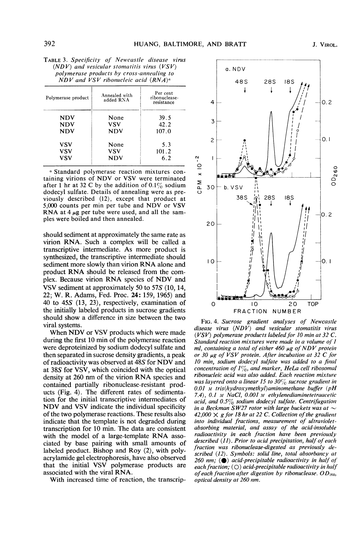| Polymerase product | Annealed with<br>added RNA | Per cent<br>ribonuclease-<br>resistance |
|--------------------|----------------------------|-----------------------------------------|
| NDV                | None                       | 39.5                                    |
| NDV                | VSV                        | 42.2                                    |
| <b>NDV</b>         | NDV                        | 107.0                                   |
| VSV                | None                       | 5.3                                     |
| VSV                | vsv                        | 101.2                                   |
| VSV                | NDV                        | 6.2                                     |

<sup>a</sup> Standard polymerase reaction mixtures containing virions of NDV or VSV were terminated after 1 hr at 32 C by the addition of  $0.1\%$  sodium dodecyl sulfate. Details of annealing were as previously described (12), except that product at 5,000 counts per min per tube and NDV or VSV RNA at  $4 \mu$ g per tube were used, and all the samples were boiled and then annealed.

should sediment at approximately the same rate as virion RNA. Such a complex will be called a transcriptive intermediate. As more product is synthesized, the transcriptive intermediate should sediment more slowly than virion RNA alone and product RNA should be released from the complex. Because virion RNA species of NDV and VSV sediment at approximately 50 to 57S (10, 14, 22; W. R. Adams, Fed. Proc. 24: 159, 1965) and 40 to 45S (13, 23), respectively, examination of the initially labeled products in sucrose gradients should show a difference in size between the two viral systems.

When NDV or VSV products which were made during the first 10 min of the polymerase reaction were deproteinized by sodium dodecyl sulfate and then separated in sucrose density gradients, a peak of radioactivity was observed at 48S for NDV and at 38S for VSV, which coincided with the optical density at <sup>260</sup> nm of the virion RNA species and contained partially ribonuclease-resistant products (Fig. 4). The different rates of sedimentation for the initial transcriptive intermediates of NDV and VSV indicate the individual specificity of the two polymerase reactions. These results also indicate that the template is not degraded during transcription for 10 min. The data are consistent with the model of <sup>a</sup> large-template RNA associated by base pairing with small amounts of labeled product. Bishop and Roy (2), with polyacrylamide gel electrophoresis, have also observed that the initial VSV polymerase products are associated with the viral RNA.

With increased time of reaction, the transcrip-



FIG. 4. Sucrose gradient analyses of Newcastle disease virus  $(NDV)$  and vesicular stomatitis virus ( $VSV$ ) polymerase products labeled for 10 min at 32 C. Standard reaction mixtures were made in a volume of <sup>I</sup> ml, containing a total of either  $460 \mu$ g of NDV protein or 30  $\mu$ g of VSV protein. After incubation at 32 C for 10 min, sodium dodecyl sulfate was added to a final concentration of  $1\%$ , and marker, HeLa cell ribosomal ribonucleic acid was also added. Each reaction mixture was layered onto a linear 15 to 30 $\%$  sucrose gradient in 0.01 M tris(hydroxymethyl)aminomethane buffer (pH 7.4),  $0.1 \text{ m NaCl}$ ,  $0.001 \text{ m}$  ethylenediaminetetraacetic acid, and  $0.5\%$  sodium dodecyl sulfate. Centrifugation in a Beckman SW27 rotor with large buckets was at  $\sim$ 42,000  $\times$  g for 18 hr at 22 C. Collection of the gradient into individual fractions, measurement of ultravioletabsorbing material, and assay of the acid-insoluble radioactivity in each fraction have been previously described (11). Prior to acid precipitation, half of each fraction was ribonuclease-digested as previously described (12). Symbols: solid line, total absorbancy at 260 nm;  $\left( \bullet \right)$  acid-precipitable radioactivity in half of each fraction;  $(O)$  acid-precipitable radioactivity in half of each fraction after digestion by ribonuclease.  $OD_{260}$ , optical density at 260 nm.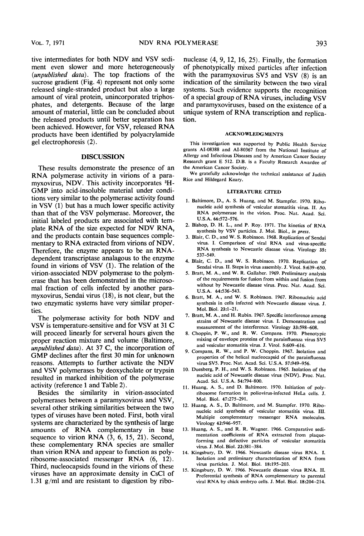tive intermediates for both NDV and VSV sediment even slower and more heterogeneously (unpublished data). The top fractions of the sucrose gradient (Fig. 4) represent not only some released single-stranded product but also a large amount of viral protein, unincorporated triphosphates, and detergents. Because of the large amount of material, little can be concluded about the released products until better separation has been achieved. However, for VSV, released RNA products have been identified by polyacrylamide gel electrophoresis (2).

# DISCUSSION

These results demonstrate the presence of an RNA polymerase activity in virions of <sup>a</sup> paramyxovirus, NDV. This activity incorporates 3H-GMP into acid-insoluble material under conditions very similar to the polymerase activity found in VSV (1) but has a much lower specific activity than that of the VSV polymerase. Moreover, the initial labeled products are associated with template RNA of the size expected for NDV RNA, and the products contain base sequences complementary to RNA extracted from virions of NDV. Therefore, the enzyme appears to be an RNAdependent transcriptase analagous to the enzyme found in virions of VSV (1). The relation of the virion-associated NDV polymerase to the polymerase that has been demonstrated in the microsomal fraction of cells infected by another paramyxovirus, Sendai virus (18), is not clear, but the two enzymatic systems have very similar properties.

The polymerase activity for both NDV and VSV is temperature-sensitive and for VSV at <sup>31</sup> C will proceed linearly for serveral hours given the proper reaction mixture and volume (Baltimore, unpublished data). At 37 C, the incorporation of GMP declines after the first <sup>30</sup> min for unknown reasons. Attempts to further activate the NDV and VSV polymerases by deoxycholate or trypsin resulted in marked inhibition of the polymerase activity (reference <sup>1</sup> and Table 2).

Besides the similarity in virion-associated polymerases between a paramyxovirus and VSV, several other striking similarities between the two types of viruses have been noted. First, both viral systems are characterized by the synthesis of large amounts of RNA complementary in base sequence to virion RNA (3, 6, 15, 21). Second, these complementary RNA species are smaller than virion RNA and appear to function as polyribosome-associated messenger RNA (6, 12). Third, nucleocapsids found in the virions of these viruses have an approximate density in CsCl of 1.31 g/ml and are resistant to digestion by ribo-

nuclease (4, 9, 12, 16, 25). Finally, the formation of phenotypically mixed particles after infection with the paramyxovirus SV5 and VSV (8) is an indication of the similarity between the two viral systems. Such evidence supports the recognition of <sup>a</sup> special group of RNA viruses, including VSV and paramyxoviruses, based on the existence of a unique system of RNA transcription and replication.

#### ACKNOWLEDGMENTS

This investigation was supported by Public Health Service grants AI-08388 and AI-80367 from the National Institute of Allergy and Infectious Diseases and by American Cancer Society Research grant E 512. D.B. is <sup>a</sup> Faculty Research Awardee of the American Cancer Society.

We gratefully acknowledge the technical assistance of Judith Rice and Hildegard Keary.

# LITERATURE CITED

- 1. Baltimore, D., A. S. Huang, and M. Stampfer. 1970. Ribonucleic acid synthesis of vesicular stomatitis virus. It. An RNA polymerase in the virion. Proc. Nat. Acad. Sci. U.S.A. 66:572-576.
- 2. Bishop, D. H. L., and P. Roy. 1971. The kinetics of RNA synthesis by VSV particles. J. Mol. Biol., in press.
- 3. Blair, C. D., and W. S. Robinson. 1968. Replication of Sendai virus. I. Comparison of viral RNA and virus-specific RNA synthesis to Newcastle disease virus. Virology 35: 537-549.
- 4. Blair, C. D., and W. S. Robinson. 1970. Replication of Sendai virus. II. Steps in virus assembly. J. Virol. 5:639-650.
- 5. Bratt, M. A., and W. R. Gallaher. 1969. Preliminary analysis of the requirements for fusion from within and fusion from without by Newcastle disease virus. Proc. Nat. Acad. Sci. U.S.A. 64:536-543.
- 6. Bratt, M. A., and W. S. Robinson. 1967. Ribonucleic acid synthesis in cells infected with Newcastle disease virus. J. Mol. Biol. 23:1-21.
- 7. Bratt, M. A., and H. Rubin. 1967. Specific interference among strains of Newcastle disease virus. I. Demonstration and measurement of the interference. Virology 33:598-608.
- 8. Choppin, P. W., and R. W. Compans. 1970. Phenotypic mixing of envelope proteins of the parainfluenza virus SV5 and vesicular stomatitis virus. J. Virol. 5:609-616.
- 9. Compans, R. W., and P. W. Choppin. 1967. Isolation and properties of the helical nucleocapsid of the parainfluenza virus SV5. Proc. Nat. Acad. Sci. U.S.A. 57:949-956.
- 10. Duesberg, P. H., and W. S. Robinson. 1965. Isolation of the nucleic acid of Newcastle disease virus (NDV). Proc. Nat. Acad. Sci. U.S.A. 54:794-800.
- 11. Huang, A. S., and D. Baltimore. 1970. Initiation of polyribosome formation in poliovirus-infected HeLa cells. J. Mol. Biol. 47:275-291.
- 12. Huang, A. S., D. Baltimore, and M. Stampfer. 1970. Ribonucleic acid synthesis of vesicular stomatitis virus. III. Multiple complementary messenger RNA molecules. Virology 42:946-957.
- 13. Huang, A. S., and R. R. Wagner. 1966. Comparative sedimentation coefficients of RNA extracted from plaqueforming and defective particles of vesicular stomatitis virus. J. Mol. Biol. 22:381-384.
- 14. Kingsbury, D. W. 1966. Newcastle disease virus RNA. I. Isolation and preliminary characterization of RNA from virus particles. J. Mol. Biol. 18:195-203.
- 15. Kingsbury, D. W. 1966. Newcastle disease virus RNA. II. Preferential synthesis of RNA complementary to parental viral RNA by chick embryo cells. J. Mol. Biol. 18:204-214.